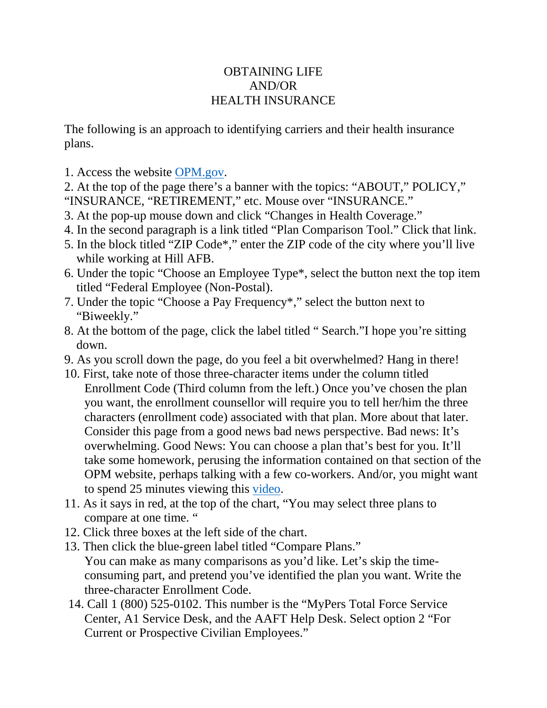## OBTAINING LIFE AND/OR HEALTH INSURANCE

The following is an approach to identifying carriers and their health insurance plans.

1. Access the website [OPM.gov.](http://opm.gov/)

2. At the top of the page there's a banner with the topics: "ABOUT," POLICY," "INSURANCE, "RETIREMENT," etc. Mouse over "INSURANCE."

- 3. At the pop-up mouse down and click "Changes in Health Coverage."
- 4. In the second paragraph is a link titled "Plan Comparison Tool." Click that link.
- 5. In the block titled "ZIP Code\*," enter the ZIP code of the city where you'll live while working at Hill AFB.
- 6. Under the topic "Choose an Employee Type\*, select the button next the top item titled "Federal Employee (Non-Postal).
- 7. Under the topic "Choose a Pay Frequency\*," select the button next to "Biweekly."
- 8. At the bottom of the page, click the label titled " Search."I hope you're sitting down.
- 9. As you scroll down the page, do you feel a bit overwhelmed? Hang in there!
- 10. First, take note of those three-character items under the column titled Enrollment Code (Third column from the left.) Once you've chosen the plan you want, the enrollment counsellor will require you to tell her/him the three characters (enrollment code) associated with that plan. More about that later. Consider this page from a good news bad news perspective. Bad news: It's overwhelming. Good News: You can choose a plan that's best for you. It'll take some homework, perusing the information contained on that section of the OPM website, perhaps talking with a few co-workers. And/or, you might want to spend 25 minutes viewing this [video.](https://www.youtube.com/watch?v=2kLGQsmawQw)
- 11. As it says in red, at the top of the chart, "You may select three plans to compare at one time. "
- 12. Click three boxes at the left side of the chart.
- 13. Then click the blue-green label titled "Compare Plans." You can make as many comparisons as you'd like. Let's skip the timeconsuming part, and pretend you've identified the plan you want. Write the three-character Enrollment Code.
- 14. Call 1 (800) 525-0102. This number is the "MyPers Total Force Service Center, A1 Service Desk, and the AAFT Help Desk. Select option 2 "For Current or Prospective Civilian Employees."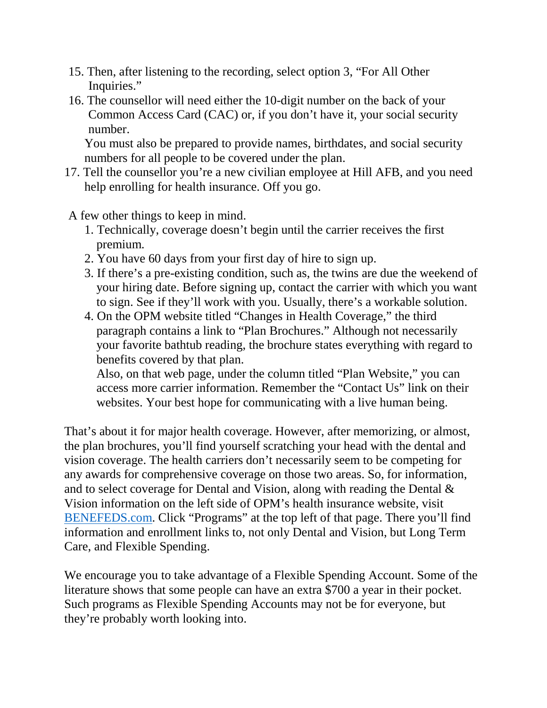- 15. Then, after listening to the recording, select option 3, "For All Other Inquiries."
- 16. The counsellor will need either the 10-digit number on the back of your Common Access Card (CAC) or, if you don't have it, your social security number.

You must also be prepared to provide names, birthdates, and social security numbers for all people to be covered under the plan.

17. Tell the counsellor you're a new civilian employee at Hill AFB, and you need help enrolling for health insurance. Off you go.

A few other things to keep in mind.

- 1. Technically, coverage doesn't begin until the carrier receives the first premium.
- 2. You have 60 days from your first day of hire to sign up.
- 3. If there's a pre-existing condition, such as, the twins are due the weekend of your hiring date. Before signing up, contact the carrier with which you want to sign. See if they'll work with you. Usually, there's a workable solution.
- 4. On the OPM website titled "Changes in Health Coverage," the third paragraph contains a link to "Plan Brochures." Although not necessarily your favorite bathtub reading, the brochure states everything with regard to benefits covered by that plan.

Also, on that web page, under the column titled "Plan Website," you can access more carrier information. Remember the "Contact Us" link on their websites. Your best hope for communicating with a live human being.

That's about it for major health coverage. However, after memorizing, or almost, the plan brochures, you'll find yourself scratching your head with the dental and vision coverage. The health carriers don't necessarily seem to be competing for any awards for comprehensive coverage on those two areas. So, for information, and to select coverage for Dental and Vision, along with reading the Dental & Vision information on the left side of OPM's health insurance website, visit [BENEFEDS.com.](http://benefeds.com/) Click "Programs" at the top left of that page. There you'll find information and enrollment links to, not only Dental and Vision, but Long Term Care, and Flexible Spending.

We encourage you to take advantage of a Flexible Spending Account. Some of the literature shows that some people can have an extra \$700 a year in their pocket. Such programs as Flexible Spending Accounts may not be for everyone, but they're probably worth looking into.